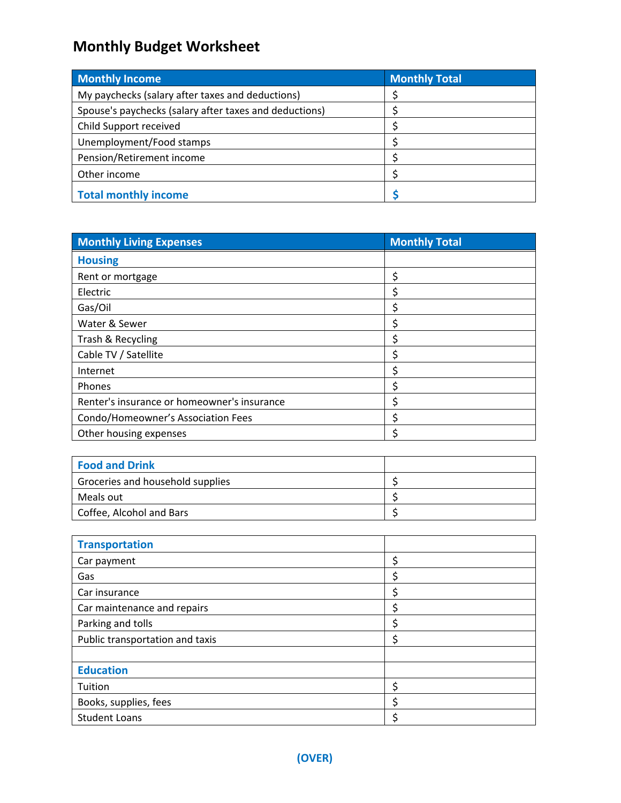## **Monthly Budget Worksheet**

| <b>Monthly Income</b>                                  | <b>Monthly Total</b> |  |  |
|--------------------------------------------------------|----------------------|--|--|
| My paychecks (salary after taxes and deductions)       |                      |  |  |
| Spouse's paychecks (salary after taxes and deductions) |                      |  |  |
| Child Support received                                 |                      |  |  |
| Unemployment/Food stamps                               |                      |  |  |
| Pension/Retirement income                              |                      |  |  |
| Other income                                           |                      |  |  |
| <b>Total monthly income</b>                            |                      |  |  |

| <b>Monthly Living Expenses</b>              | <b>Monthly Total</b>          |  |  |
|---------------------------------------------|-------------------------------|--|--|
| <b>Housing</b>                              |                               |  |  |
| Rent or mortgage                            | \$                            |  |  |
| Electric                                    | \$                            |  |  |
| Gas/Oil                                     | \$                            |  |  |
| Water & Sewer                               | \$                            |  |  |
| Trash & Recycling                           | $\frac{1}{2}$                 |  |  |
| Cable TV / Satellite                        | $\overline{\boldsymbol{\xi}}$ |  |  |
| Internet                                    | \$                            |  |  |
| Phones                                      | \$                            |  |  |
| Renter's insurance or homeowner's insurance | \$                            |  |  |
| Condo/Homeowner's Association Fees          | $\frac{1}{2}$                 |  |  |
| Other housing expenses                      | \$                            |  |  |
|                                             |                               |  |  |
| <b>Food and Drink</b>                       |                               |  |  |
| Groceries and household supplies            | \$                            |  |  |
| Meals out                                   | $\zeta$                       |  |  |
| Coffee, Alcohol and Bars                    | \$                            |  |  |
|                                             |                               |  |  |
| <b>Transportation</b>                       |                               |  |  |
| Car payment                                 | \$                            |  |  |
| Gas                                         | $\zeta$                       |  |  |
| Car insurance                               | $\overline{\boldsymbol{\xi}}$ |  |  |
| Car maintenance and repairs                 | \$                            |  |  |
| Parking and tolls                           | \$                            |  |  |
| Public transportation and taxis             | \$                            |  |  |
|                                             |                               |  |  |
| <b>Education</b>                            |                               |  |  |
| Tuition                                     | \$                            |  |  |
| Books, supplies, fees                       | \$                            |  |  |
| <b>Student Loans</b>                        | \$                            |  |  |